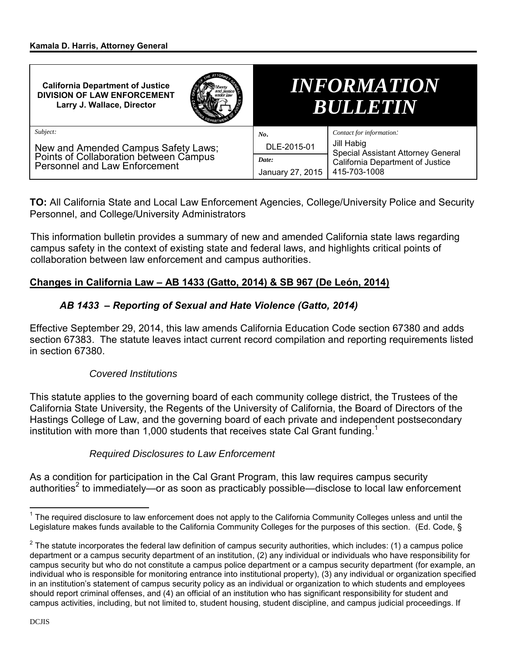| <b>California Department of Justice</b><br><b>DIVISION OF LAW ENFORCEMENT</b><br>Larry J. Wallace, Director    |             |                                                                                                      | <i><b>INFORMATION</b></i><br>BULLETIN |
|----------------------------------------------------------------------------------------------------------------|-------------|------------------------------------------------------------------------------------------------------|---------------------------------------|
| Subject:                                                                                                       |             | No.                                                                                                  | Contact for information:              |
| New and Amended Campus Safety Laws;<br>Points of Collaboration between Campus<br>Personnel and Law Enforcement | DLE-2015-01 | Jill Habig<br>Special Assistant Attorney General<br>California Department of Justice<br>415-703-1008 |                                       |
|                                                                                                                | Date:       |                                                                                                      |                                       |
|                                                                                                                |             |                                                                                                      | January 27, 2015                      |

**TO:** All California State and Local Law Enforcement Agencies, College/University Police and Security Personnel, and College/University Administrators

This information bulletin provides a summary of new and amended California state laws regarding campus safety in the context of existing state and federal laws, and highlights critical points of collaboration between law enforcement and campus authorities.

# **Changes in California Law – AB 1433 (Gatto, 2014) & SB 967 (De León, 2014)**

# *AB 1433 – Reporting of Sexual and Hate Violence (Gatto, 2014)*

Effective September 29, 2014, this law amends California Education Code section 67380 and adds section 67383. The statute leaves intact current record compilation and reporting requirements listed in section 67380.

# *Covered Institutions*

This statute applies to the governing board of each community college district, the Trustees of the California State University, the Regents of the University of California, the Board of Directors of the Hastings College of Law, and the governing board of each private and independent postsecondary institution with more than 1,000 students that receives state Cal Grant funding.<sup>1</sup>

### *Required Disclosures to Law Enforcement*

As a condition for participation in the Cal Grant Program, this law requires campus security authorities<sup>2</sup> to immediately—or as soon as practicably possible—disclose to local law enforcement

 $\overline{a}$ <sup>1</sup> The required disclosure to law enforcement does not apply to the California Community Colleges unless and until the Legislature makes funds available to the California Community Colleges for the purposes of this section. (Ed. Code, §

 $2$  The statute incorporates the federal law definition of campus security authorities, which includes: (1) a campus police department or a campus security department of an institution, (2) any individual or individuals who have responsibility for campus security but who do not constitute a campus police department or a campus security department (for example, an individual who is responsible for monitoring entrance into institutional property), (3) any individual or organization specified in an institution's statement of campus security policy as an individual or organization to which students and employees should report criminal offenses, and (4) an official of an institution who has significant responsibility for student and campus activities, including, but not limited to, student housing, student discipline, and campus judicial proceedings. If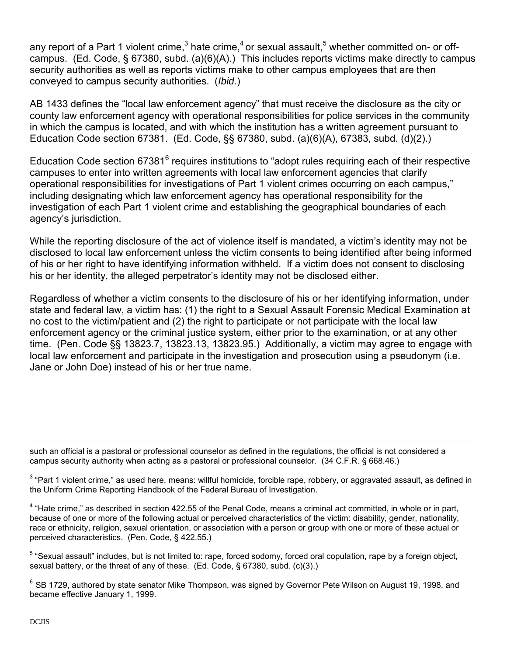any report of a Part 1 violent crime,<sup>3</sup> hate crime,<sup>4</sup> or sexual assault,<sup>5</sup> whether committed on- or offcampus. (Ed. Code, § 67380, subd. (a)(6)(A).) This includes reports victims make directly to campus security authorities as well as reports victims make to other campus employees that are then conveyed to campus security authorities. (*Ibid*.)

AB 1433 defines the "local law enforcement agency" that must receive the disclosure as the city or county law enforcement agency with operational responsibilities for police services in the community in which the campus is located, and with which the institution has a written agreement pursuant to Education Code section 67381. (Ed. Code, §§ 67380, subd. (a)(6)(A), 67383, subd. (d)(2).)

Education Code section 67381<sup>6</sup> requires institutions to "adopt rules requiring each of their respective campuses to enter into written agreements with local law enforcement agencies that clarify operational responsibilities for investigations of Part 1 violent crimes occurring on each campus," including designating which law enforcement agency has operational responsibility for the investigation of each Part 1 violent crime and establishing the geographical boundaries of each agency's jurisdiction.

While the reporting disclosure of the act of violence itself is mandated, a victim's identity may not be disclosed to local law enforcement unless the victim consents to being identified after being informed of his or her right to have identifying information withheld. If a victim does not consent to disclosing his or her identity, the alleged perpetrator's identity may not be disclosed either.

Regardless of whether a victim consents to the disclosure of his or her identifying information, under state and federal law, a victim has: (1) the right to a Sexual Assault Forensic Medical Examination at no cost to the victim/patient and (2) the right to participate or not participate with the local law enforcement agency or the criminal justice system, either prior to the examination, or at any other time. (Pen. Code §§ 13823.7, 13823.13, 13823.95.) Additionally, a victim may agree to engage with local law enforcement and participate in the investigation and prosecution using a pseudonym (i.e. Jane or John Doe) instead of his or her true name.

 $\overline{a}$ such an official is a pastoral or professional counselor as defined in the regulations, the official is not considered a campus security authority when acting as a pastoral or professional counselor. (34 C.F.R. § 668.46.)

 $3$  "Part 1 violent crime," as used here, means: willful homicide, forcible rape, robbery, or aggravated assault, as defined in the Uniform Crime Reporting Handbook of the Federal Bureau of Investigation.

<sup>4</sup> "Hate crime," as described in section 422.55 of the Penal Code, means a criminal act committed, in whole or in part, because of one or more of the following actual or perceived characteristics of the victim: disability, gender, nationality, race or ethnicity, religion, sexual orientation, or association with a person or group with one or more of these actual or perceived characteristics. (Pen. Code, § 422.55.)

<sup>5</sup> "Sexual assault" includes, but is not limited to: rape, forced sodomy, forced oral copulation, rape by a foreign object, sexual battery, or the threat of any of these. (Ed. Code, § 67380, subd. (c)(3).)

 $^6$  SB 1729, authored by state senator Mike Thompson, was signed by Governor Pete Wilson on August 19, 1998, and became effective January 1, 1999.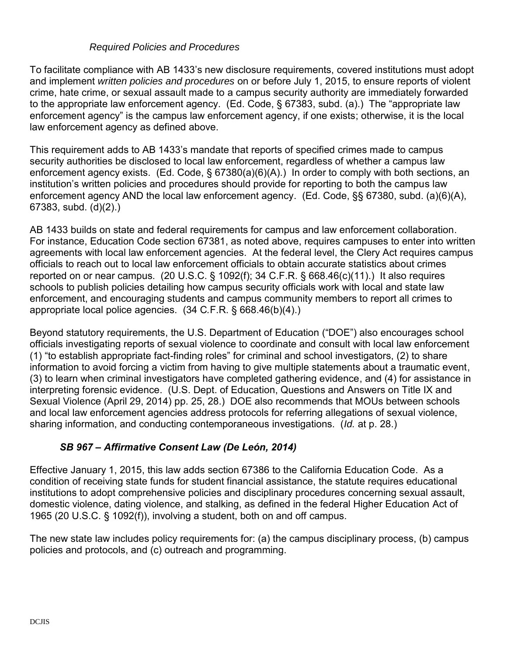### *Required Policies and Procedures*

To facilitate compliance with AB 1433's new disclosure requirements, covered institutions must adopt and implement *written policies and procedures* on or before July 1, 2015, to ensure reports of violent crime, hate crime, or sexual assault made to a campus security authority are immediately forwarded to the appropriate law enforcement agency. (Ed. Code, § 67383, subd. (a).) The "appropriate law enforcement agency" is the campus law enforcement agency, if one exists; otherwise, it is the local law enforcement agency as defined above.

This requirement adds to AB 1433's mandate that reports of specified crimes made to campus security authorities be disclosed to local law enforcement, regardless of whether a campus law enforcement agency exists. (Ed. Code, § 67380(a)(6)(A).) In order to comply with both sections, an institution's written policies and procedures should provide for reporting to both the campus law enforcement agency AND the local law enforcement agency. (Ed. Code, §§ 67380, subd. (a)(6)(A), 67383, subd. (d)(2).)

AB 1433 builds on state and federal requirements for campus and law enforcement collaboration. For instance, Education Code section 67381, as noted above, requires campuses to enter into written agreements with local law enforcement agencies. At the federal level, the Clery Act requires campus officials to reach out to local law enforcement officials to obtain accurate statistics about crimes reported on or near campus. (20 U.S.C.  $\S$  1092(f); 34 C.F.R.  $\S$  668.46(c)(11).) It also requires schools to publish policies detailing how campus security officials work with local and state law enforcement, and encouraging students and campus community members to report all crimes to appropriate local police agencies. (34 C*.*F.R. § 668.46(b)(4).)

Beyond statutory requirements, the U.S. Department of Education ("DOE") also encourages school officials investigating reports of sexual violence to coordinate and consult with local law enforcement (1) "to establish appropriate fact-finding roles" for criminal and school investigators, (2) to share information to avoid forcing a victim from having to give multiple statements about a traumatic event, (3) to learn when criminal investigators have completed gathering evidence, and (4) for assistance in interpreting forensic evidence. (U.S. Dept. of Education, Questions and Answers on Title IX and Sexual Violence (April 29, 2014) pp. 25, 28.) DOE also recommends that MOUs between schools and local law enforcement agencies address protocols for referring allegations of sexual violence, sharing information, and conducting contemporaneous investigations. (*Id.* at p. 28.)

# *SB 967 – Affirmative Consent Law (De León, 2014)*

Effective January 1, 2015, this law adds section 67386 to the California Education Code. As a condition of receiving state funds for student financial assistance, the statute requires educational institutions to adopt comprehensive policies and disciplinary procedures concerning sexual assault, domestic violence, dating violence, and stalking, as defined in the federal Higher Education Act of 1965 (20 U.S.C. § 1092(f)), involving a student, both on and off campus.

The new state law includes policy requirements for: (a) the campus disciplinary process, (b) campus policies and protocols, and (c) outreach and programming.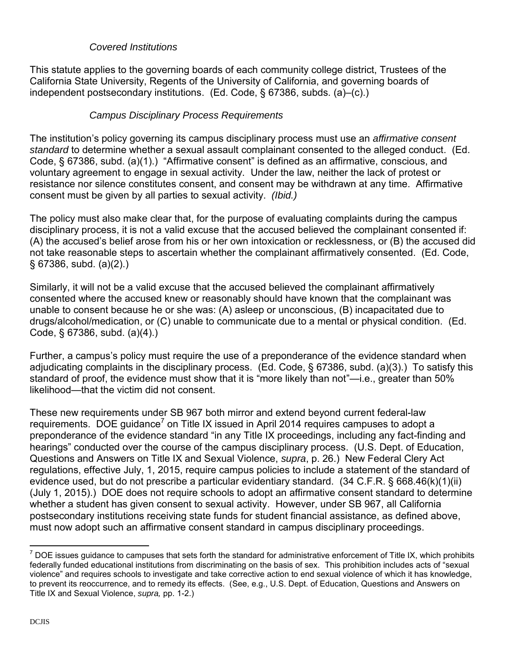## *Covered Institutions*

This statute applies to the governing boards of each community college district, Trustees of the California State University, Regents of the University of California, and governing boards of independent postsecondary institutions. (Ed. Code, § 67386, subds. (a)–(c).)

## *Campus Disciplinary Process Requirements*

The institution's policy governing its campus disciplinary process must use an *affirmative consent standard* to determine whether a sexual assault complainant consented to the alleged conduct. (Ed. Code, § 67386, subd. (a)(1).) "Affirmative consent" is defined as an affirmative, conscious, and voluntary agreement to engage in sexual activity. Under the law, neither the lack of protest or resistance nor silence constitutes consent, and consent may be withdrawn at any time. Affirmative consent must be given by all parties to sexual activity. *(Ibid.)*

The policy must also make clear that, for the purpose of evaluating complaints during the campus disciplinary process, it is not a valid excuse that the accused believed the complainant consented if: (A) the accused's belief arose from his or her own intoxication or recklessness, or (B) the accused did not take reasonable steps to ascertain whether the complainant affirmatively consented. (Ed. Code, § 67386, subd. (a)(2).)

Similarly, it will not be a valid excuse that the accused believed the complainant affirmatively consented where the accused knew or reasonably should have known that the complainant was unable to consent because he or she was: (A) asleep or unconscious, (B) incapacitated due to drugs/alcohol/medication, or (C) unable to communicate due to a mental or physical condition. (Ed. Code, § 67386, subd. (a)(4).)

Further, a campus's policy must require the use of a preponderance of the evidence standard when adjudicating complaints in the disciplinary process. (Ed. Code, § 67386, subd. (a)(3).) To satisfy this standard of proof, the evidence must show that it is "more likely than not"—i.e., greater than 50% likelihood—that the victim did not consent.

These new requirements under SB 967 both mirror and extend beyond current federal-law requirements. DOE guidance<sup>7</sup> on Title IX issued in April 2014 requires campuses to adopt a preponderance of the evidence standard "in any Title IX proceedings, including any fact-finding and hearings" conducted over the course of the campus disciplinary process. (U.S. Dept. of Education, Questions and Answers on Title IX and Sexual Violence, *supra*, p. 26.) New Federal Clery Act regulations, effective July, 1, 2015, require campus policies to include a statement of the standard of evidence used, but do not prescribe a particular evidentiary standard. (34 C.F.R. § 668.46(k)(1)(ii) (July 1, 2015).) DOE does not require schools to adopt an affirmative consent standard to determine whether a student has given consent to sexual activity. However, under SB 967, all California postsecondary institutions receiving state funds for student financial assistance, as defined above, must now adopt such an affirmative consent standard in campus disciplinary proceedings.

 $\overline{a}$ 

 $^7$  DOE issues guidance to campuses that sets forth the standard for administrative enforcement of Title IX, which prohibits federally funded educational institutions from discriminating on the basis of sex. This prohibition includes acts of "sexual violence" and requires schools to investigate and take corrective action to end sexual violence of which it has knowledge, to prevent its reoccurrence, and to remedy its effects. (See, e.g., U.S. Dept. of Education, Questions and Answers on Title IX and Sexual Violence, *supra,* pp. 1-2.)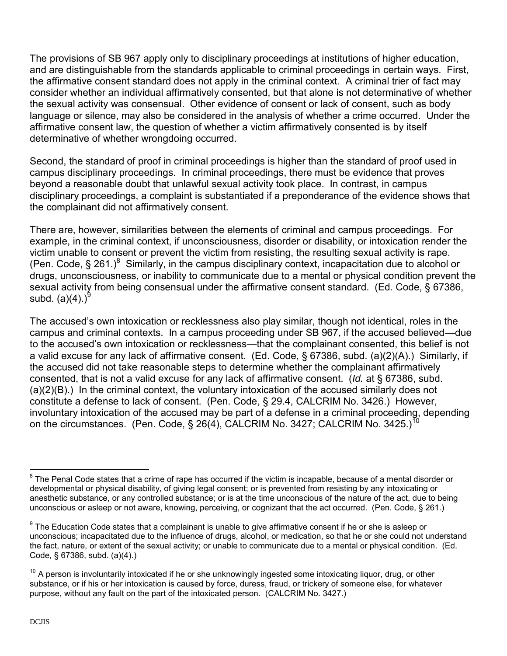The provisions of SB 967 apply only to disciplinary proceedings at institutions of higher education, and are distinguishable from the standards applicable to criminal proceedings in certain ways. First, the affirmative consent standard does not apply in the criminal context. A criminal trier of fact may consider whether an individual affirmatively consented, but that alone is not determinative of whether the sexual activity was consensual. Other evidence of consent or lack of consent, such as body language or silence, may also be considered in the analysis of whether a crime occurred. Under the affirmative consent law, the question of whether a victim affirmatively consented is by itself determinative of whether wrongdoing occurred.

Second, the standard of proof in criminal proceedings is higher than the standard of proof used in campus disciplinary proceedings. In criminal proceedings, there must be evidence that proves beyond a reasonable doubt that unlawful sexual activity took place. In contrast, in campus disciplinary proceedings, a complaint is substantiated if a preponderance of the evidence shows that the complainant did not affirmatively consent.

There are, however, similarities between the elements of criminal and campus proceedings. For example, in the criminal context, if unconsciousness, disorder or disability, or intoxication render the victim unable to consent or prevent the victim from resisting, the resulting sexual activity is rape. (Pen. Code, § 261.)<sup>8</sup> Similarly, in the campus disciplinary context, incapacitation due to alcohol or drugs, unconsciousness, or inability to communicate due to a mental or physical condition prevent the sexual activity from being consensual under the affirmative consent standard. (Ed. Code, § 67386, subd. (a)(4).) $^9$ 

The accused's own intoxication or recklessness also play similar, though not identical, roles in the campus and criminal contexts. In a campus proceeding under SB 967, if the accused believed—due to the accused's own intoxication or recklessness—that the complainant consented, this belief is not a valid excuse for any lack of affirmative consent. (Ed. Code, § 67386, subd. (a)(2)(A).) Similarly, if the accused did not take reasonable steps to determine whether the complainant affirmatively consented, that is not a valid excuse for any lack of affirmative consent. (*Id.* at § 67386, subd. (a)(2)(B).) In the criminal context, the voluntary intoxication of the accused similarly does not constitute a defense to lack of consent. (Pen. Code, § 29.4, CALCRIM No. 3426.) However, involuntary intoxication of the accused may be part of a defense in a criminal proceeding, depending on the circumstances. (Pen. Code, § 26(4), CALCRIM No. 3427; CALCRIM No. 3425.)<sup>10</sup>

 8 The Penal Code states that a crime of rape has occurred if the victim is incapable, because of a mental disorder or developmental or physical disability, of giving legal consent; or is prevented from resisting by any intoxicating or anesthetic substance, or any controlled substance; or is at the time unconscious of the nature of the act, due to being unconscious or asleep or not aware, knowing, perceiving, or cognizant that the act occurred. (Pen. Code, § 261.)

 $^9$  The Education Code states that a complainant is unable to give affirmative consent if he or she is asleep or unconscious; incapacitated due to the influence of drugs, alcohol, or medication, so that he or she could not understand the fact, nature, or extent of the sexual activity; or unable to communicate due to a mental or physical condition. (Ed. Code, § 67386, subd. (a)(4).)

 $10$  A person is involuntarily intoxicated if he or she unknowingly ingested some intoxicating liquor, drug, or other substance, or if his or her intoxication is caused by force, duress, fraud, or trickery of someone else, for whatever purpose, without any fault on the part of the intoxicated person. (CALCRIM No. 3427.)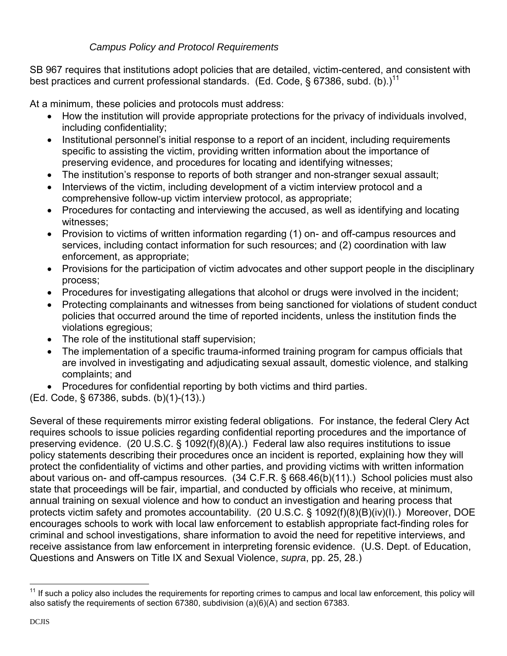# *Campus Policy and Protocol Requirements*

SB 967 requires that institutions adopt policies that are detailed, victim-centered, and consistent with best practices and current professional standards. (Ed. Code, § 67386, subd. (b).)<sup>11</sup>

At a minimum, these policies and protocols must address:

- How the institution will provide appropriate protections for the privacy of individuals involved, including confidentiality;
- Institutional personnel's initial response to a report of an incident, including requirements specific to assisting the victim, providing written information about the importance of preserving evidence, and procedures for locating and identifying witnesses;
- The institution's response to reports of both stranger and non-stranger sexual assault;
- Interviews of the victim, including development of a victim interview protocol and a comprehensive follow-up victim interview protocol, as appropriate;
- Procedures for contacting and interviewing the accused, as well as identifying and locating witnesses;
- Provision to victims of written information regarding (1) on- and off-campus resources and services, including contact information for such resources; and (2) coordination with law enforcement, as appropriate;
- Provisions for the participation of victim advocates and other support people in the disciplinary process;
- Procedures for investigating allegations that alcohol or drugs were involved in the incident;
- Protecting complainants and witnesses from being sanctioned for violations of student conduct policies that occurred around the time of reported incidents, unless the institution finds the violations egregious;
- The role of the institutional staff supervision;
- The implementation of a specific trauma-informed training program for campus officials that are involved in investigating and adjudicating sexual assault, domestic violence, and stalking complaints; and
- Procedures for confidential reporting by both victims and third parties.

(Ed. Code, § 67386, subds. (b)(1)-(13).)

Several of these requirements mirror existing federal obligations. For instance, the federal Clery Act requires schools to issue policies regarding confidential reporting procedures and the importance of preserving evidence. (20 U.S.C. § 1092(f)(8)(A).) Federal law also requires institutions to issue policy statements describing their procedures once an incident is reported, explaining how they will protect the confidentiality of victims and other parties, and providing victims with written information about various on- and off-campus resources. (34 C.F.R. § 668.46(b)(11).) School policies must also state that proceedings will be fair, impartial, and conducted by officials who receive, at minimum, annual training on sexual violence and how to conduct an investigation and hearing process that protects victim safety and promotes accountability. (20 U.S.C. § 1092(f)(8)(B)(iv)(I).) Moreover, DOE encourages schools to work with local law enforcement to establish appropriate fact-finding roles for criminal and school investigations, share information to avoid the need for repetitive interviews, and receive assistance from law enforcement in interpreting forensic evidence. (U.S. Dept. of Education, Questions and Answers on Title IX and Sexual Violence, *supra*, pp. 25, 28.)

 $\overline{a}$ 

If such a policy also includes the requirements for reporting crimes to campus and local law enforcement, this policy will also satisfy the requirements of section 67380, subdivision (a)(6)(A) and section 67383.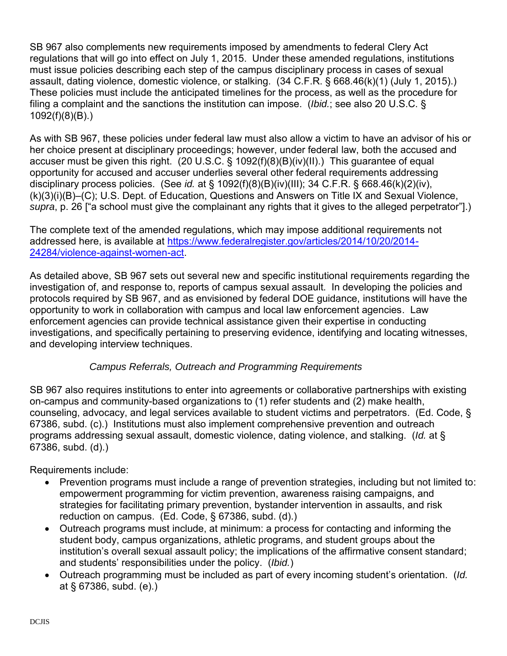SB 967 also complements new requirements imposed by amendments to federal Clery Act regulations that will go into effect on July 1, 2015. Under these amended regulations, institutions must issue policies describing each step of the campus disciplinary process in cases of sexual assault, dating violence, domestic violence, or stalking. (34 C.F.R. § 668.46(k)(1) (July 1, 2015).) These policies must include the anticipated timelines for the process, as well as the procedure for filing a complaint and the sanctions the institution can impose. (*Ibid.*; see also 20 U.S.C. § 1092(f)(8)(B).)

As with SB 967, these policies under federal law must also allow a victim to have an advisor of his or her choice present at disciplinary proceedings; however, under federal law, both the accused and accuser must be given this right. (20 U.S.C. § 1092(f)(8)(B)(iv)(II).) This guarantee of equal opportunity for accused and accuser underlies several other federal requirements addressing disciplinary process policies. (See *id.* at § 1092(f)(8)(B)(iv)(III); 34 C.F.R. § 668.46(k)(2)(iv), (k)(3)(i)(B)–(C); U.S. Dept. of Education, Questions and Answers on Title IX and Sexual Violence, *supra*, p. 26 ["a school must give the complainant any rights that it gives to the alleged perpetrator"].)

The complete text of the amended regulations, which may impose additional requirements not addressed here, is available at [https://www.federalregister.gov/articles/2014/10/20/2014-](https://www.federalregister.gov/articles/2014/10/20/2014-24284/violence-against-women-act) [24284/violence-against-women-act.](https://www.federalregister.gov/articles/2014/10/20/2014-24284/violence-against-women-act)

As detailed above, SB 967 sets out several new and specific institutional requirements regarding the investigation of, and response to, reports of campus sexual assault. In developing the policies and protocols required by SB 967, and as envisioned by federal DOE guidance, institutions will have the opportunity to work in collaboration with campus and local law enforcement agencies. Law enforcement agencies can provide technical assistance given their expertise in conducting investigations, and specifically pertaining to preserving evidence, identifying and locating witnesses, and developing interview techniques.

# *Campus Referrals, Outreach and Programming Requirements*

SB 967 also requires institutions to enter into agreements or collaborative partnerships with existing on-campus and community-based organizations to (1) refer students and (2) make health, counseling, advocacy, and legal services available to student victims and perpetrators. (Ed. Code, § 67386, subd. (c).) Institutions must also implement comprehensive prevention and outreach programs addressing sexual assault, domestic violence, dating violence, and stalking. (*Id.* at § 67386, subd. (d).)

Requirements include:

- Prevention programs must include a range of prevention strategies, including but not limited to: empowerment programming for victim prevention, awareness raising campaigns, and strategies for facilitating primary prevention, bystander intervention in assaults, and risk reduction on campus. (Ed. Code, § 67386, subd. (d).)
- Outreach programs must include, at minimum: a process for contacting and informing the student body, campus organizations, athletic programs, and student groups about the institution's overall sexual assault policy; the implications of the affirmative consent standard; and students' responsibilities under the policy. (*Ibid.*)
- Outreach programming must be included as part of every incoming student's orientation. (*Id.*  at § 67386, subd. (e).)